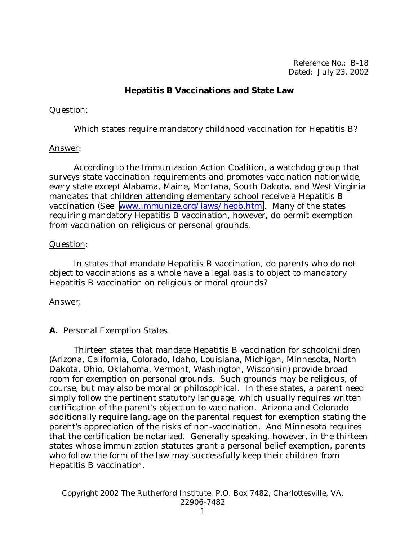Reference No.: B-18 Dated: July 23, 2002

### **Hepatitis B Vaccinations and State Law**

#### Question:

Which states require mandatory childhood vaccination for Hepatitis B?

#### Answer:

 According to the Immunization Action Coalition, a watchdog group that surveys state vaccination requirements and promotes vaccination nationwide, every state except Alabama, Maine, Montana, South Dakota, and West Virginia mandates that children attending elementary school receive a Hepatitis B vaccination (See [www.immunize.org/laws/hepb.htm\)](http://www.immunize.org/laws/hepb.htm). Many of the states requiring mandatory Hepatitis B vaccination, however, do permit exemption from vaccination on religious or personal grounds.

#### Question:

 In states that mandate Hepatitis B vaccination, do parents who do not object to vaccinations as a whole have a legal basis to object to mandatory Hepatitis B vaccination on religious or moral grounds?

## Answer:

## **A.** *Personal Exemption States*

 Thirteen states that mandate Hepatitis B vaccination for schoolchildren (Arizona, California, Colorado, Idaho, Louisiana, Michigan, Minnesota, North Dakota, Ohio, Oklahoma, Vermont, Washington, Wisconsin) provide broad room for exemption on personal grounds. Such grounds may be religious, of course, but may also be moral or philosophical. In these states, a parent need simply follow the pertinent statutory language, which usually requires written certification of the parent's objection to vaccination. Arizona and Colorado additionally require language on the parental request for exemption stating the parent's appreciation of the risks of non-vaccination. And Minnesota requires that the certification be notarized. Generally speaking, however, in the thirteen states whose immunization statutes grant a personal belief exemption, parents who follow the form of the law may successfully keep their children from Hepatitis B vaccination.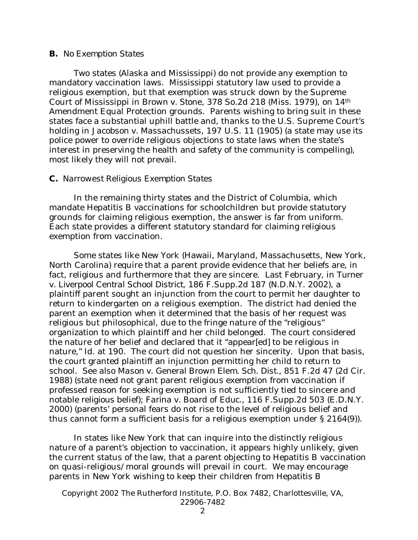#### **B.** *No Exemption States*

 Two states (Alaska and Mississippi) do not provide any exemption to mandatory vaccination laws. Mississippi statutory law used to provide a religious exemption, but that exemption was struck down by the Supreme Court of Mississippi in *Brown v. Stone*, 378 So.2d 218 (Miss. 1979), on 14th Amendment Equal Protection grounds. Parents wishing to bring suit in these states face a substantial uphill battle and, thanks to the U.S. Supreme Court's holding in *Jacobson v. Massachussets*, 197 U.S. 11 (1905) (a state may use its police power to override religious objections to state laws when the state's interest in preserving the health and safety of the community is compelling), most likely they will not prevail.

#### **C.** *Narrowest Religious Exemption States*

 In the remaining thirty states and the District of Columbia, which mandate Hepatitis B vaccinations for schoolchildren but provide statutory grounds for claiming religious exemption, the answer is far from uniform. Each state provides a different statutory standard for claiming religious exemption from vaccination.

 Some states like New York (Hawaii, Maryland, Massachusetts, New York, North Carolina) require that a parent provide evidence that her beliefs are, in fact, religious and furthermore that they are sincere. Last February, in *Turner v. Liverpool Central School District*, 186 F.Supp.2d 187 (N.D.N.Y. 2002), a plaintiff parent sought an injunction from the court to permit her daughter to return to kindergarten on a religious exemption. The district had denied the parent an exemption when it determined that the basis of her request was religious but philosophical, due to the fringe nature of the "religious" organization to which plaintiff and her child belonged. The court considered the nature of her belief and declared that it "appear[ed] to be religious in nature," Id. at 190. The court did not question her sincerity. Upon that basis, the court granted plaintiff an injunction permitting her child to return to school. *See also Mason v. General Brown Elem. Sch. Dist.*, 851 F.2d 47 (2d Cir. 1988) (state need not grant parent religious exemption from vaccination if professed reason for seeking exemption is not sufficiently tied to sincere and notable *religious* belief); *Farina v. Board of Educ.*, 116 F.Supp.2d 503 (E.D.N.Y. 2000) (parents' personal fears do not rise to the level of religious belief and thus cannot form a sufficient basis for a religious exemption under § 2164(9)).

 In states like New York that can inquire into the distinctly religious nature of a parent's objection to vaccination, it appears highly unlikely, given the current status of the law, that a parent objecting to Hepatitis B vaccination on quasi-religious/moral grounds will prevail in court. We may encourage parents in New York wishing to keep their children from Hepatitis B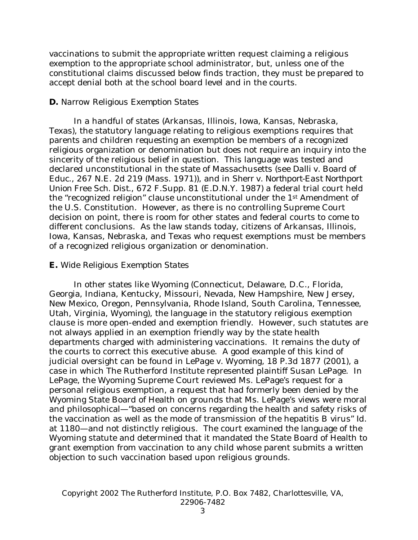vaccinations to submit the appropriate written request claiming a religious exemption to the appropriate school administrator, but, unless one of the constitutional claims discussed below finds traction, they must be prepared to accept denial both at the school board level and in the courts.

#### **D.** *Narrow Religious Exemption States*

 In a handful of states (Arkansas, Illinois, Iowa, Kansas, Nebraska, Texas), the statutory language relating to religious exemptions requires that parents and children requesting an exemption be members of a recognized religious organization or denomination but does not require an inquiry into the sincerity of the religious belief in question. This language was tested and declared unconstitutional in the state of Massachusetts (*see Dalli v. Board of Educ*., 267 N.E. 2d 219 (Mass. 1971)), and in *Sherr v. Northport-East Northport Union Free Sch. Dist.*, 672 F.Supp. 81 (E.D.N.Y. 1987) a federal trial court held the "recognized religion" clause unconstitutional under the 1st Amendment of the U.S. Constitution. However, as there is no controlling Supreme Court decision on point, there is room for other states and federal courts to come to different conclusions. As the law stands today, citizens of Arkansas, Illinois, Iowa, Kansas, Nebraska, and Texas who request exemptions must be members of a recognized religious organization or denomination.

#### **E.** *Wide Religious Exemption States*

 In other states like Wyoming (Connecticut, Delaware, D.C., Florida, Georgia, Indiana, Kentucky, Missouri, Nevada, New Hampshire, New Jersey, New Mexico, Oregon, Pennsylvania, Rhode Island, South Carolina, Tennessee, Utah, Virginia, Wyoming), the language in the statutory religious exemption clause is more open-ended and exemption friendly. However, such statutes are not always applied in an exemption friendly way by the state health departments charged with administering vaccinations. It remains the duty of the courts to correct this executive abuse. A good example of this kind of judicial oversight can be found in *LePage v. Wyoming*, 18 P.3d 1877 (2001), a case in which The Rutherford Institute represented plaintiff Susan LePage. In *LePage*, the Wyoming Supreme Court reviewed Ms. LePage's request for a personal religious exemption, a request that had formerly been denied by the Wyoming State Board of Health on grounds that Ms. LePage's views were moral and philosophical—"based on concerns regarding the health and safety risks of the vaccination as well as the mode of transmission of the hepatitis B virus" *Id*. at 1180—and not distinctly religious. The court examined the language of the Wyoming statute and determined that it mandated the State Board of Health to grant exemption from vaccination to any child whose parent submits a written objection to such vaccination based upon religious grounds.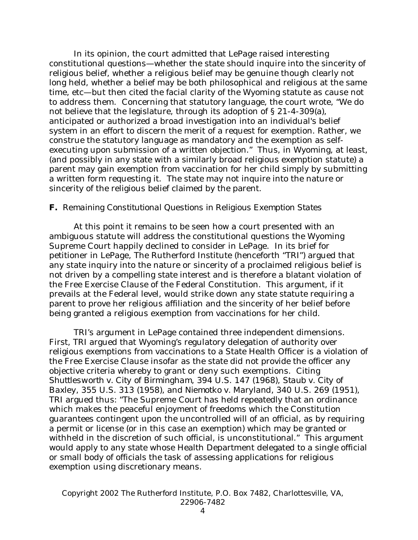In its opinion, the court admitted that *LePage* raised interesting constitutional questions—whether the state should inquire into the sincerity of religious belief, whether a religious belief may be genuine though clearly not long held, whether a belief may be both philosophical and religious at the same time, etc—but then cited the facial clarity of the Wyoming statute as cause not to address them. Concerning that statutory language, the court wrote, "We do not believe that the legislature, through its adoption of § 21-4-309(a), anticipated or authorized a broad investigation into an individual's belief system in an effort to discern the merit of a request for exemption. Rather, we construe the statutory language as mandatory and the exemption as selfexecuting upon submission of a written objection." Thus, in Wyoming, at least, (and possibly in any state with a similarly broad religious exemption statute) a parent may gain exemption from vaccination for her child simply by submitting a written form requesting it. The state may not inquire into the nature or sincerity of the religious belief claimed by the parent.

#### **F.** *Remaining Constitutional Questions in Religious Exemption States*

 At this point it remains to be seen how a court presented with an ambiguous statute will address the constitutional questions the Wyoming Supreme Court happily declined to consider in *LePage*. In its brief for petitioner in *LePage*, The Rutherford Institute (henceforth "TRI") argued that any state inquiry into the nature or sincerity of a proclaimed religious belief is not driven by a compelling state interest and is therefore a blatant violation of the Free Exercise Clause of the Federal Constitution. This argument, if it prevails at the Federal level, would strike down any state statute requiring a parent to prove her religious affiliation and the sincerity of her belief before being granted a religious exemption from vaccinations for her child.

 TRI's argument in *LePage* contained three independent dimensions. First, TRI argued that Wyoming's regulatory delegation of authority over religious exemptions from vaccinations to a State Health Officer is a violation of the Free Exercise Clause insofar as the state did not provide the officer any objective criteria whereby to grant or deny such exemptions. Citing *Shuttlesworth v. City of Birmingham*, 394 U.S. 147 (1968), *Staub v. City of Baxley*, 355 U.S. 313 (1958), and *Niemotko v. Maryland*, 340 U.S. 269 (1951), TRI argued thus: "The Supreme Court has held repeatedly that an ordinance which makes the peaceful enjoyment of freedoms which the Constitution guarantees contingent upon the uncontrolled will of an official, as by requiring a permit or license (or in this case an exemption) which may be granted or withheld in the discretion of such official, is unconstitutional." This argument would apply to any state whose Health Department delegated to a single official or small body of officials the task of assessing applications for religious exemption using discretionary means.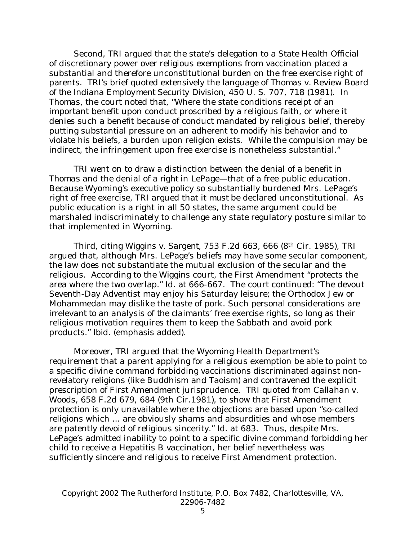Second, TRI argued that the state's delegation to a State Health Official of discretionary power over religious exemptions from vaccination placed a substantial and therefore unconstitutional burden on the free exercise right of parents. TRI's brief quoted extensively the language of *Thomas v. Review Board of the Indiana Employment Security Division*, 450 U. S. 707, 718 (1981). In *Thomas*, the court noted that, "Where the state conditions receipt of an important benefit upon conduct proscribed by a religious faith, or where it denies such a benefit because of conduct mandated by religious belief, thereby putting substantial pressure on an adherent to modify his behavior and to violate his beliefs, a burden upon religion exists. While the compulsion may be indirect, the infringement upon free exercise is nonetheless substantial."

 TRI went on to draw a distinction between the denial of a *benefit* in *Thomas* and the denial of a *right* in *LePage*—that of a free public education. Because Wyoming's executive policy so substantially burdened Mrs. LePage's right of free exercise, TRI argued that it *must* be declared unconstitutional. As public education is a right in all 50 states, the same argument could be marshaled indiscriminately to challenge any state regulatory posture similar to that implemented in Wyoming.

 Third, citing *Wiggins v. Sargent*, 753 F.2d 663, 666 (8th Cir. 1985), TRI argued that, although Mrs. LePage's beliefs may have some secular component, the law does not substantiate the mutual exclusion of the secular and the religious. According to the *Wiggins* court, the First Amendment "protects the area where the two overlap." *Id*. at 666-667. The court continued: "The devout Seventh-Day Adventist may enjoy his Saturday leisure; the Orthodox Jew or Mohammedan may dislike the taste of pork. Such *personal considerations are irrelevant to an analysis of the claimants' free exercise rights*, so long as their religious motivation requires them to keep the Sabbath and avoid pork products." *Ibid*. (emphasis added).

 Moreover, TRI argued that the Wyoming Health Department's requirement that a parent applying for a religious exemption be able to point to a specific divine command forbidding vaccinations discriminated against nonrevelatory religions (like Buddhism and Taoism) and contravened the explicit prescription of First Amendment jurisprudence. TRI quoted from *Callahan v. Woods*, 658 F.2d 679, 684 (9th Cir.1981), to show that First Amendment protection is only unavailable where the objections are based upon "so-called religions which ... are obviously shams and absurdities and whose members are patently devoid of religious sincerity." *Id*. at 683. Thus, despite Mrs. LePage's admitted inability to point to a specific divine command forbidding her child to receive a Hepatitis B vaccination, her belief nevertheless was sufficiently sincere and religious to receive First Amendment protection.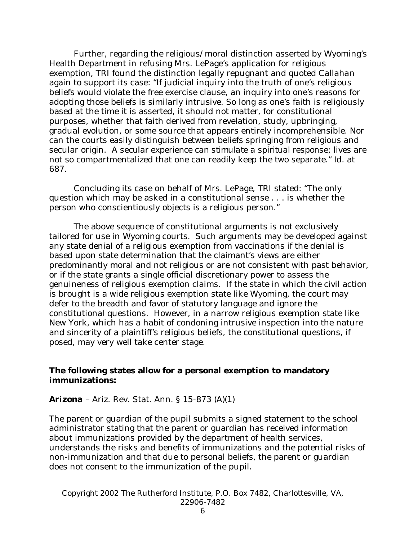Further, regarding the religious/moral distinction asserted by Wyoming's Health Department in refusing Mrs. LePage's application for religious exemption, TRI found the distinction legally repugnant and quoted *Callahan*  again to support its case: "If judicial inquiry into the truth of one's religious beliefs would violate the free exercise clause, an inquiry into one's reasons for adopting those beliefs is similarly intrusive. So long as one's faith is religiously based at the time it is asserted, it should not matter, for constitutional purposes, whether that faith derived from revelation, study, upbringing, gradual evolution, or some source that appears entirely incomprehensible. Nor can the courts easily distinguish between beliefs springing from religious and secular origin. *A secular experience can stimulate a spiritual response*; lives are not so compartmentalized that one can readily keep the two separate." *Id*. at 687.

 Concluding its case on behalf of Mrs. LePage, TRI stated: "The only question which may be asked in a constitutional sense . . . is whether the person who conscientiously objects is a religious person."

 The above sequence of constitutional arguments is not exclusively tailored for use in Wyoming courts. Such arguments may be developed against any state denial of a religious exemption from vaccinations if the denial is based upon state determination that the claimant's views are either predominantly moral and not religious or are not consistent with past behavior, or if the state grants a single official discretionary power to assess the genuineness of religious exemption claims. If the state in which the civil action is brought is a wide religious exemption state like Wyoming, the court may defer to the breadth and favor of statutory language and ignore the constitutional questions. However, in a narrow religious exemption state like New York, which has a habit of condoning intrusive inspection into the nature and sincerity of a plaintiff's religious beliefs, the constitutional questions, if posed, may very well take center stage.

#### **The following states allow for a personal exemption to mandatory immunizations:**

#### *Arizona –* Ariz. Rev. Stat. Ann. § 15-873 (A)(1)

The parent or guardian of the pupil submits a signed statement to the school administrator stating that the parent or guardian has received information about immunizations provided by the department of health services, understands the risks and benefits of immunizations and the potential risks of non-immunization and that due to personal beliefs, the parent or guardian does not consent to the immunization of the pupil.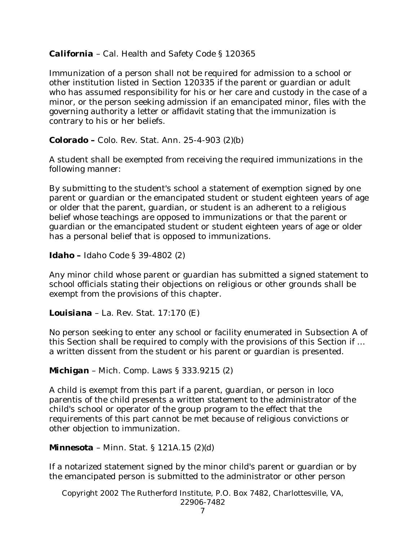# *California* – Cal. Health and Safety Code § 120365

Immunization of a person shall not be required for admission to a school or other institution listed in Section 120335 if the parent or guardian or adult who has assumed responsibility for his or her care and custody in the case of a minor, or the person seeking admission if an emancipated minor, files with the governing authority a letter or affidavit stating that the immunization is contrary to his or her beliefs.

*Colorado –* Colo. Rev. Stat. Ann. 25-4-903 (2)(b)

A student shall be exempted from receiving the required immunizations in the following manner:

By submitting to the student's school a statement of exemption signed by one parent or guardian or the emancipated student or student eighteen years of age or older that the parent, guardian, or student is an adherent to a religious belief whose teachings are opposed to immunizations or that the parent or guardian or the emancipated student or student eighteen years of age or older has a personal belief that is opposed to immunizations.

*Idaho –* Idaho Code § 39-4802 (2)

Any minor child whose parent or guardian has submitted a signed statement to school officials stating their objections on religious or other grounds shall be exempt from the provisions of this chapter.

*Louisiana* – La. Rev. Stat. 17:170 (E)

No person seeking to enter any school or facility enumerated in Subsection A of this Section shall be required to comply with the provisions of this Section if … a written dissent from the student or his parent or guardian is presented.

*Michigan* – Mich. Comp. Laws § 333.9215 (2)

A child is exempt from this part if a parent, guardian, or person in loco parentis of the child presents a written statement to the administrator of the child's school or operator of the group program to the effect that the requirements of this part cannot be met because of religious convictions or other objection to immunization.

*Minnesota* – Minn. Stat. § 121A.15 (2)(d)

If a notarized statement signed by the minor child's parent or guardian or by the emancipated person is submitted to the administrator or other person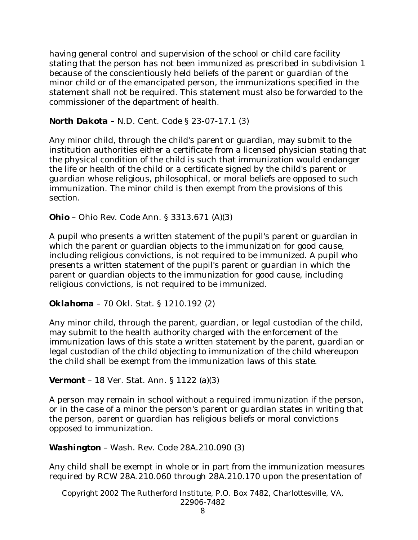having general control and supervision of the school or child care facility stating that the person has not been immunized as prescribed in subdivision 1 because of the conscientiously held beliefs of the parent or guardian of the minor child or of the emancipated person, the immunizations specified in the statement shall not be required. This statement must also be forwarded to the commissioner of the department of health.

# *North Dakota* – N.D. Cent. Code § 23-07-17.1 (3)

Any minor child, through the child's parent or guardian, may submit to the institution authorities either a certificate from a licensed physician stating that the physical condition of the child is such that immunization would endanger the life or health of the child or a certificate signed by the child's parent or guardian whose religious, philosophical, or moral beliefs are opposed to such immunization. The minor child is then exempt from the provisions of this section.

*Ohio* – Ohio Rev. Code Ann. § 3313.671 (A)(3)

A pupil who presents a written statement of the pupil's parent or guardian in which the parent or guardian objects to the immunization for good cause, including religious convictions, is not required to be immunized. A pupil who presents a written statement of the pupil's parent or guardian in which the parent or guardian objects to the immunization for good cause, including religious convictions, is not required to be immunized.

*Oklahoma* – 70 Okl. Stat. § 1210.192 (2)

Any minor child, through the parent, guardian, or legal custodian of the child, may submit to the health authority charged with the enforcement of the immunization laws of this state a written statement by the parent, guardian or legal custodian of the child objecting to immunization of the child whereupon the child shall be exempt from the immunization laws of this state.

*Vermont* – 18 Ver. Stat. Ann. § 1122 (a)(3)

A person may remain in school without a required immunization if the person, or in the case of a minor the person's parent or guardian states in writing that the person, parent or guardian has religious beliefs or moral convictions opposed to immunization.

# *Washington* – Wash. Rev. Code 28A.210.090 (3)

Any child shall be exempt in whole or in part from the immunization measures required by RCW 28A.210.060 through 28A.210.170 upon the presentation of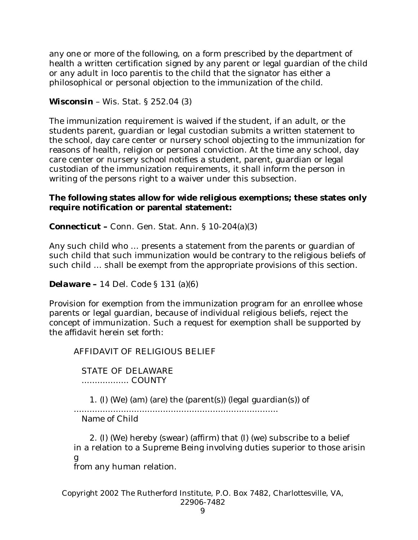any one or more of the following, on a form prescribed by the department of health a written certification signed by any parent or legal guardian of the child or any adult in loco parentis to the child that the signator has either a philosophical or personal objection to the immunization of the child.

*Wisconsin* – Wis. Stat. § 252.04 (3)

The immunization requirement is waived if the student, if an adult, or the students parent, guardian or legal custodian submits a written statement to the school, day care center or nursery school objecting to the immunization for reasons of health, religion or personal conviction. At the time any school, day care center or nursery school notifies a student, parent, guardian or legal custodian of the immunization requirements, it shall inform the person in writing of the persons right to a waiver under this subsection.

# **The following states allow for wide religious exemptions; these states only require notification or parental statement:**

*Connecticut –* Conn. Gen. Stat. Ann. § 10-204(a)(3)

Any such child who … presents a statement from the parents or guardian of such child that such immunization would be contrary to the religious beliefs of such child … shall be exempt from the appropriate provisions of this section.

*Delaware –* 14 Del. Code § 131 (a)(6)

Provision for exemption from the immunization program for an enrollee whose parents or legal guardian, because of individual religious beliefs, reject the concept of immunization. Such a request for exemption shall be supported by the affidavit herein set forth:

AFFIDAVIT OF RELIGIOUS BELIEF

 STATE OF DELAWARE .................. COUNTY

1. (I) (We) (am) (are) the (parent(s)) (legal guardian(s)) of

..............................................................................

Name of Child

 2. (I) (We) hereby (swear) (affirm) that (I) (we) subscribe to a belief in a relation to a Supreme Being involving duties superior to those arisin g

from any human relation.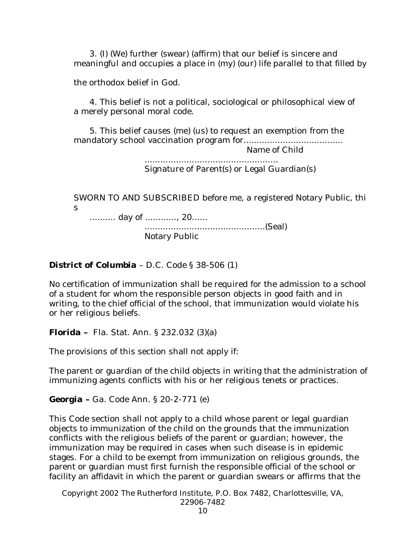3. (I) (We) further (swear) (affirm) that our belief is sincere and meaningful and occupies a place in (my) (our) life parallel to that filled by

the orthodox belief in God.

 4. This belief is not a political, sociological or philosophical view of a merely personal moral code.

 5. This belief causes (me) (us) to request an exemption from the mandatory school vaccination program for......................................

Name of Child

 ................................................... Signature of Parent(s) or Legal Guardian(s)

SWORN TO AND SUBSCRIBED before me, a registered Notary Public, thi s

.......... day of ............, 20......

 ..............................................(Seal) Notary Public

# *District of Columbia* – D.C. Code § 38-506 (1)

No certification of immunization shall be required for the admission to a school of a student for whom the responsible person objects in good faith and in writing, to the chief official of the school, that immunization would violate his or her religious beliefs.

*Florida –* Fla. Stat. Ann. § 232.032 (3)(a)

The provisions of this section shall not apply if:

The parent or guardian of the child objects in writing that the administration of immunizing agents conflicts with his or her religious tenets or practices.

*Georgia –* Ga. Code Ann. § 20-2-771 (e)

This Code section shall not apply to a child whose parent or legal guardian objects to immunization of the child on the grounds that the immunization conflicts with the religious beliefs of the parent or guardian; however, the immunization may be required in cases when such disease is in epidemic stages. For a child to be exempt from immunization on religious grounds, the parent or guardian must first furnish the responsible official of the school or facility an affidavit in which the parent or guardian swears or affirms that the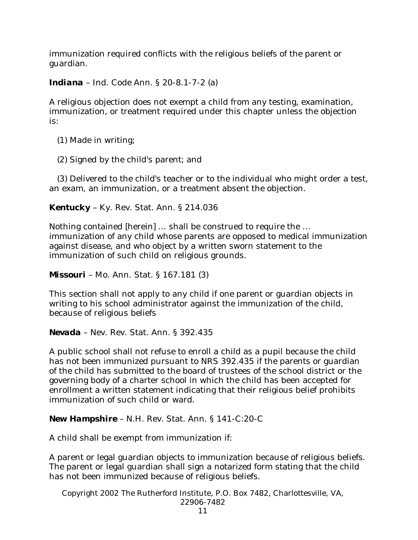immunization required conflicts with the religious beliefs of the parent or guardian.

*Indiana* – Ind. Code Ann. § 20-8.1-7-2 (a)

A religious objection does not exempt a child from any testing, examination, immunization, or treatment required under this chapter unless the objection is:

(1) Made in writing;

(2) Signed by the child's parent; and

 (3) Delivered to the child's teacher or to the individual who might order a test, an exam, an immunization, or a treatment absent the objection.

*Kentucky* – Ky. Rev. Stat. Ann. § 214.036

Nothing contained [herein] … shall be construed to require the … immunization of any child whose parents are opposed to medical immunization against disease, and who object by a written sworn statement to the immunization of such child on religious grounds.

*Missouri* – Mo. Ann. Stat. § 167.181 (3)

This section shall not apply to any child if one parent or guardian objects in writing to his school administrator against the immunization of the child, because of religious beliefs

*Nevada* – Nev. Rev. Stat. Ann. § 392.435

A public school shall not refuse to enroll a child as a pupil because the child has not been immunized pursuant to NRS 392.435 if the parents or guardian of the child has submitted to the board of trustees of the school district or the governing body of a charter school in which the child has been accepted for enrollment a written statement indicating that their religious belief prohibits immunization of such child or ward.

*New Hampshire* – N.H. Rev. Stat. Ann. § 141-C:20-C

A child shall be exempt from immunization if:

A parent or legal guardian objects to immunization because of religious beliefs. The parent or legal guardian shall sign a notarized form stating that the child has not been immunized because of religious beliefs.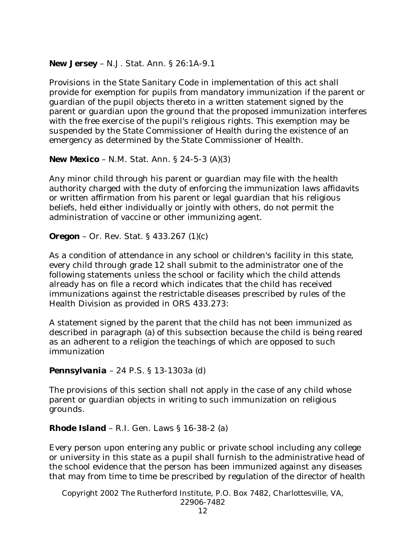*New Jersey* – N.J. Stat. Ann. § 26:1A-9.1

Provisions in the State Sanitary Code in implementation of this act shall provide for exemption for pupils from mandatory immunization if the parent or guardian of the pupil objects thereto in a written statement signed by the parent or guardian upon the ground that the proposed immunization interferes with the free exercise of the pupil's religious rights. This exemption may be suspended by the State Commissioner of Health during the existence of an emergency as determined by the State Commissioner of Health.

*New Mexico* – N.M. Stat. Ann. § 24-5-3 (A)(3)

Any minor child through his parent or guardian may file with the health authority charged with the duty of enforcing the immunization laws affidavits or written affirmation from his parent or legal guardian that his religious beliefs, held either individually or jointly with others, do not permit the administration of vaccine or other immunizing agent.

*Oregon* – Or. Rev. Stat. § 433.267 (1)(c)

As a condition of attendance in any school or children's facility in this state, every child through grade 12 shall submit to the administrator one of the following statements unless the school or facility which the child attends already has on file a record which indicates that the child has received immunizations against the restrictable diseases prescribed by rules of the Health Division as provided in ORS 433.273:

A statement signed by the parent that the child has not been immunized as described in paragraph (a) of this subsection because the child is being reared as an adherent to a religion the teachings of which are opposed to such immunization

*Pennsylvania* – 24 P.S. § 13-1303a (d)

The provisions of this section shall not apply in the case of any child whose parent or guardian objects in writing to such immunization on religious grounds.

*Rhode Island* – R.I. Gen. Laws § 16-38-2 (a)

Every person upon entering any public or private school including any college or university in this state as a pupil shall furnish to the administrative head of the school evidence that the person has been immunized against any diseases that may from time to time be prescribed by regulation of the director of health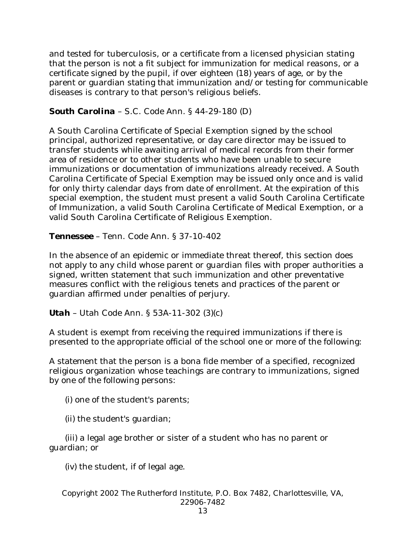and tested for tuberculosis, or a certificate from a licensed physician stating that the person is not a fit subject for immunization for medical reasons, or a certificate signed by the pupil, if over eighteen (18) years of age, or by the parent or guardian stating that immunization and/or testing for communicable diseases is contrary to that person's religious beliefs.

# *South Carolina* – S.C. Code Ann. § 44-29-180 (D)

A South Carolina Certificate of Special Exemption signed by the school principal, authorized representative, or day care director may be issued to transfer students while awaiting arrival of medical records from their former area of residence or to other students who have been unable to secure immunizations or documentation of immunizations already received. A South Carolina Certificate of Special Exemption may be issued only once and is valid for only thirty calendar days from date of enrollment. At the expiration of this special exemption, the student must present a valid South Carolina Certificate of Immunization, a valid South Carolina Certificate of Medical Exemption, or a valid South Carolina Certificate of Religious Exemption.

*Tennessee* – Tenn. Code Ann. § 37-10-402

In the absence of an epidemic or immediate threat thereof, this section does not apply to any child whose parent or guardian files with proper authorities a signed, written statement that such immunization and other preventative measures conflict with the religious tenets and practices of the parent or guardian affirmed under penalties of perjury.

*Utah* – Utah Code Ann. § 53A-11-302 (3)(c)

A student is exempt from receiving the required immunizations if there is presented to the appropriate official of the school one or more of the following:

A statement that the person is a bona fide member of a specified, recognized religious organization whose teachings are contrary to immunizations, signed by one of the following persons:

(i) one of the student's parents;

(ii) the student's guardian;

 (iii) a legal age brother or sister of a student who has no parent or guardian; or

(iv) the student, if of legal age.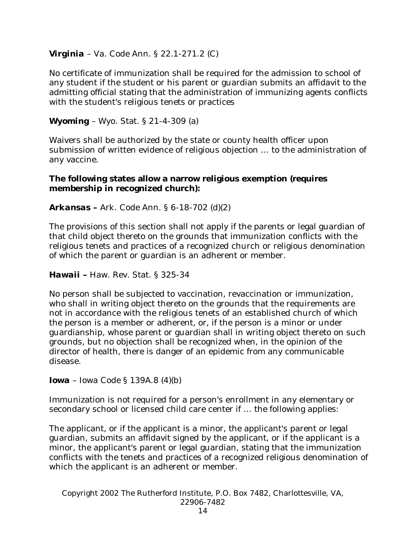# *Virginia* – Va. Code Ann. § 22.1-271.2 (C)

No certificate of immunization shall be required for the admission to school of any student if the student or his parent or guardian submits an affidavit to the admitting official stating that the administration of immunizing agents conflicts with the student's religious tenets or practices

# *Wyoming* – Wyo. Stat. § 21-4-309 (a)

Waivers shall be authorized by the state or county health officer upon submission of written evidence of religious objection … to the administration of any vaccine.

# **The following states allow a narrow religious exemption (requires membership in recognized church):**

# *Arkansas –* Ark. Code Ann. § 6-18-702 (d)(2)

The provisions of this section shall not apply if the parents or legal guardian of that child object thereto on the grounds that immunization conflicts with the religious tenets and practices of a recognized church or religious denomination of which the parent or guardian is an adherent or member.

# *Hawaii –* Haw. Rev. Stat. § 325-34

No person shall be subjected to vaccination, revaccination or immunization, who shall in writing object thereto on the grounds that the requirements are not in accordance with the religious tenets of an established church of which the person is a member or adherent, or, if the person is a minor or under guardianship, whose parent or guardian shall in writing object thereto on such grounds, but no objection shall be recognized when, in the opinion of the director of health, there is danger of an epidemic from any communicable disease.

*Iowa* – Iowa Code § 139A.8 (4)(b)

Immunization is not required for a person's enrollment in any elementary or secondary school or licensed child care center if … the following applies:

The applicant, or if the applicant is a minor, the applicant's parent or legal guardian, submits an affidavit signed by the applicant, or if the applicant is a minor, the applicant's parent or legal guardian, stating that the immunization conflicts with the tenets and practices of a recognized religious denomination of which the applicant is an adherent or member.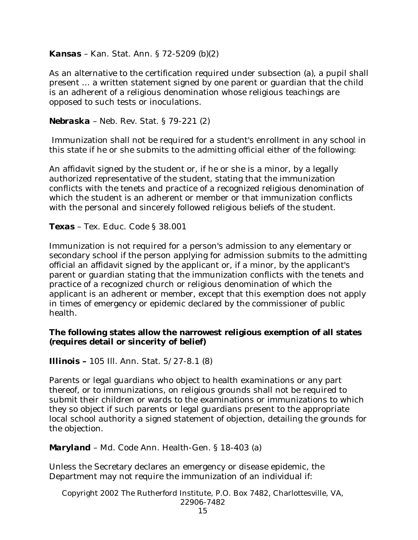## *Kansas* – Kan. Stat. Ann. § 72-5209 (b)(2)

As an alternative to the certification required under subsection (a), a pupil shall present … a written statement signed by one parent or guardian that the child is an adherent of a religious denomination whose religious teachings are opposed to such tests or inoculations.

## *Nebraska* – Neb. Rev. Stat. § 79-221 (2)

 Immunization shall not be required for a student's enrollment in any school in this state if he or she submits to the admitting official either of the following:

An affidavit signed by the student or, if he or she is a minor, by a legally authorized representative of the student, stating that the immunization conflicts with the tenets and practice of a recognized religious denomination of which the student is an adherent or member or that immunization conflicts with the personal and sincerely followed religious beliefs of the student.

*Texas* – Tex. Educ. Code § 38.001

Immunization is not required for a person's admission to any elementary or secondary school if the person applying for admission submits to the admitting official an affidavit signed by the applicant or, if a minor, by the applicant's parent or guardian stating that the immunization conflicts with the tenets and practice of a recognized church or religious denomination of which the applicant is an adherent or member, except that this exemption does not apply in times of emergency or epidemic declared by the commissioner of public health.

# **The following states allow the narrowest religious exemption of all states (requires detail or sincerity of belief)**

*Illinois –* 105 Ill. Ann. Stat. 5/27-8.1 (8)

Parents or legal guardians who object to health examinations or any part thereof, or to immunizations, on religious grounds shall not be required to submit their children or wards to the examinations or immunizations to which they so object if such parents or legal guardians present to the appropriate local school authority a signed statement of objection, detailing the grounds for the objection.

## *Maryland* – Md. Code Ann. Health-Gen. § 18-403 (a)

Unless the Secretary declares an emergency or disease epidemic, the Department may not require the immunization of an individual if: